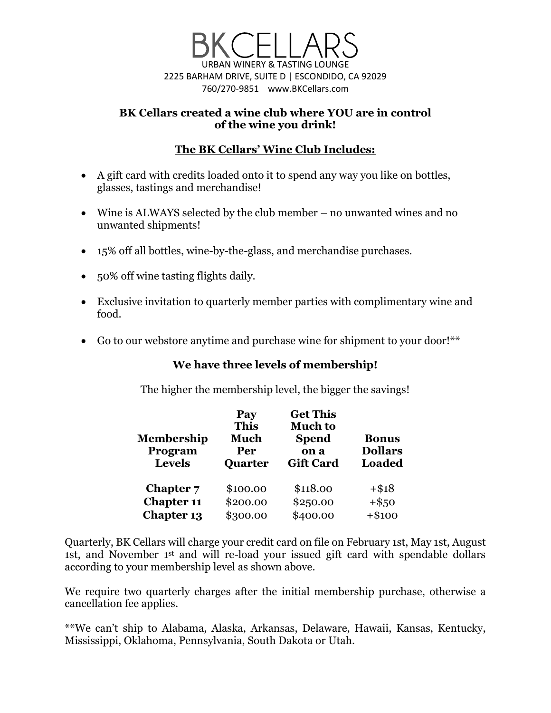

### **BK Cellars created a wine club where YOU are in control of the wine you drink!**

# **The BK Cellars' Wine Club Includes:**

- A gift card with credits loaded onto it to spend any way you like on bottles, glasses, tastings and merchandise!
- Wine is ALWAYS selected by the club member no unwanted wines and no unwanted shipments!
- 15% off all bottles, wine-by-the-glass, and merchandise purchases.
- 50% off wine tasting flights daily.
- Exclusive invitation to quarterly member parties with complimentary wine and food.
- Go to our webstore anytime and purchase wine for shipment to your door!\*\*

## **We have three levels of membership!**

The higher the membership level, the bigger the savings!

| <b>Membership</b><br>Program<br><b>Levels</b> | Pay<br><b>This</b><br><b>Much</b><br>Per<br><b>Quarter</b> | <b>Get This</b><br><b>Much to</b><br><b>Spend</b><br>on a<br><b>Gift Card</b> | <b>Bonus</b><br><b>Dollars</b><br><b>Loaded</b> |
|-----------------------------------------------|------------------------------------------------------------|-------------------------------------------------------------------------------|-------------------------------------------------|
| Chapter 7                                     | \$100.00                                                   | \$118.00                                                                      | $+$ \$18                                        |
| <b>Chapter 11</b>                             | \$200.00                                                   | \$250.00                                                                      | $+$ \$50                                        |
| <b>Chapter 13</b>                             | \$300.00                                                   | \$400.00                                                                      | $+ $100$                                        |

Quarterly, BK Cellars will charge your credit card on file on February 1st, May 1st, August 1st, and November 1st and will re-load your issued gift card with spendable dollars according to your membership level as shown above.

We require two quarterly charges after the initial membership purchase, otherwise a cancellation fee applies.

\*\*We can't ship to Alabama, Alaska, Arkansas, Delaware, Hawaii, Kansas, Kentucky, Mississippi, Oklahoma, Pennsylvania, South Dakota or Utah.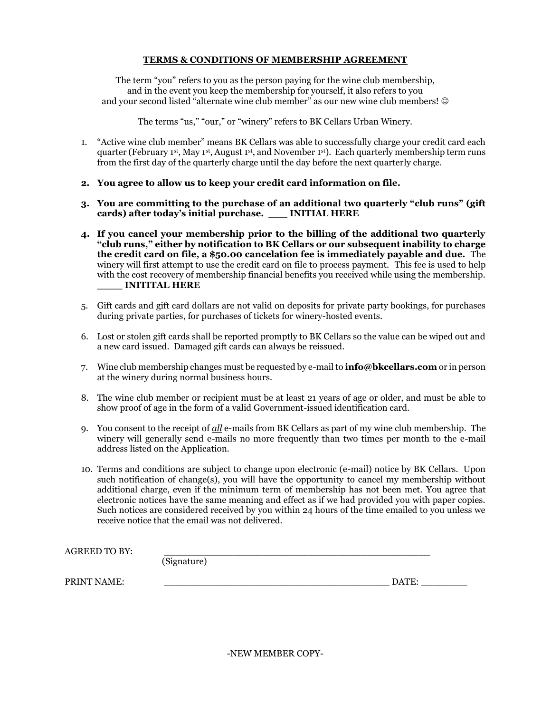#### **TERMS & CONDITIONS OF MEMBERSHIP AGREEMENT**

The term "you" refers to you as the person paying for the wine club membership, and in the event you keep the membership for yourself, it also refers to you and your second listed "alternate wine club member" as our new wine club members!  $\odot$ 

The terms "us," "our," or "winery" refers to BK Cellars Urban Winery.

- 1. "Active wine club member" means BK Cellars was able to successfully charge your credit card each quarter (February 1<sup>st</sup>, May 1<sup>st</sup>, August 1<sup>st</sup>, and November 1<sup>st</sup>). Each quarterly membership term runs from the first day of the quarterly charge until the day before the next quarterly charge.
- **2. You agree to allow us to keep your credit card information on file.**
- **3. You are committing to the purchase of an additional two quarterly "club runs" (gift cards) after today's initial purchase. \_\_\_ INITIAL HERE**
- **4. If you cancel your membership prior to the billing of the additional two quarterly "club runs," either by notification to BK Cellars or our subsequent inability to charge the credit card on file, a \$50.00 cancelation fee is immediately payable and due.** The winery will first attempt to use the credit card on file to process payment.This fee is used to help with the cost recovery of membership financial benefits you received while using the membership. **\_\_\_\_ INITITAL HERE**
- 5. Gift cards and gift card dollars are not valid on deposits for private party bookings, for purchases during private parties, for purchases of tickets for winery-hosted events.
- 6. Lost or stolen gift cards shall be reported promptly to BK Cellars so the value can be wiped out and a new card issued. Damaged gift cards can always be reissued.
- 7. Wine club membership changes must be requested by e-mail to **info@bkcellars.com** or in person at the winery during normal business hours.
- 8. The wine club member or recipient must be at least 21 years of age or older, and must be able to show proof of age in the form of a valid Government-issued identification card.
- 9. You consent to the receipt of *all* e-mails from BK Cellars as part of my wine club membership. The winery will generally send e-mails no more frequently than two times per month to the e-mail address listed on the Application.
- 10. Terms and conditions are subject to change upon electronic (e-mail) notice by BK Cellars. Upon such notification of change(s), you will have the opportunity to cancel my membership without additional charge, even if the minimum term of membership has not been met. You agree that electronic notices have the same meaning and effect as if we had provided you with paper copies. Such notices are considered received by you within 24 hours of the time emailed to you unless we receive notice that the email was not delivered.

| AGREED TO BY: | (Signature) |       |
|---------------|-------------|-------|
| PRINT NAME:   |             | DATE: |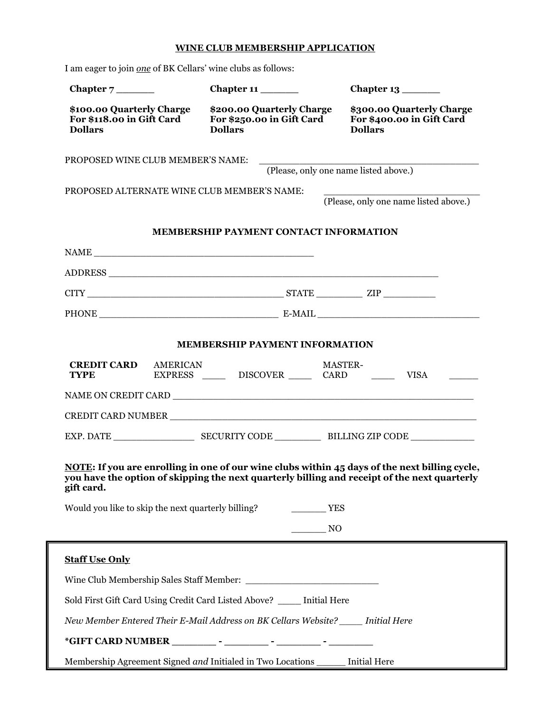### **WINE CLUB MEMBERSHIP APPLICATION**

| I am eager to join one of BK Cellars' wine clubs as follows:                      |                                                                                |                                                                                                                                                                                                             |
|-----------------------------------------------------------------------------------|--------------------------------------------------------------------------------|-------------------------------------------------------------------------------------------------------------------------------------------------------------------------------------------------------------|
|                                                                                   | Chapter 11                                                                     |                                                                                                                                                                                                             |
| \$100.00 Quarterly Charge<br>For \$118.00 in Gift Card<br><b>Dollars</b>          | \$200.00 Quarterly Charge<br>For \$250.00 in Gift Card<br><b>Dollars</b>       | \$300.00 Quarterly Charge<br>For \$400.00 in Gift Card<br><b>Dollars</b>                                                                                                                                    |
| PROPOSED WINE CLUB MEMBER'S NAME:                                                 |                                                                                |                                                                                                                                                                                                             |
|                                                                                   |                                                                                | (Please, only one name listed above.)                                                                                                                                                                       |
| PROPOSED ALTERNATE WINE CLUB MEMBER'S NAME:                                       |                                                                                | (Please, only one name listed above.)                                                                                                                                                                       |
|                                                                                   |                                                                                |                                                                                                                                                                                                             |
|                                                                                   | <b>MEMBERSHIP PAYMENT CONTACT INFORMATION</b>                                  |                                                                                                                                                                                                             |
| $\label{eq:1} \text{NAME}\textcolor{gray}{\fbox{1}}$                              |                                                                                |                                                                                                                                                                                                             |
|                                                                                   |                                                                                |                                                                                                                                                                                                             |
|                                                                                   |                                                                                |                                                                                                                                                                                                             |
|                                                                                   |                                                                                |                                                                                                                                                                                                             |
|                                                                                   | <b>MEMBERSHIP PAYMENT INFORMATION</b>                                          |                                                                                                                                                                                                             |
| <b>CREDIT CARD</b><br>AMERICAN<br><b>TYPE</b>                                     |                                                                                | <b>MASTER-</b><br>EXPRESS _____ DISCOVER _____ CARD ______ VISA _____                                                                                                                                       |
|                                                                                   |                                                                                |                                                                                                                                                                                                             |
|                                                                                   |                                                                                |                                                                                                                                                                                                             |
|                                                                                   |                                                                                |                                                                                                                                                                                                             |
| gift card.<br>Would you like to skip the next quarterly billing?                  |                                                                                | NOTE: If you are enrolling in one of our wine clubs within 45 days of the next billing cycle,<br>you have the option of skipping the next quarterly billing and receipt of the next quarterly<br><b>YES</b> |
|                                                                                   |                                                                                | NO                                                                                                                                                                                                          |
| <b>Staff Use Only</b>                                                             |                                                                                |                                                                                                                                                                                                             |
|                                                                                   |                                                                                |                                                                                                                                                                                                             |
| Sold First Gift Card Using Credit Card Listed Above? ____ Initial Here            |                                                                                |                                                                                                                                                                                                             |
| New Member Entered Their E-Mail Address on BK Cellars Website? _____ Initial Here |                                                                                |                                                                                                                                                                                                             |
|                                                                                   |                                                                                |                                                                                                                                                                                                             |
|                                                                                   | Membership Agreement Signed and Initialed in Two Locations ______ Initial Here |                                                                                                                                                                                                             |